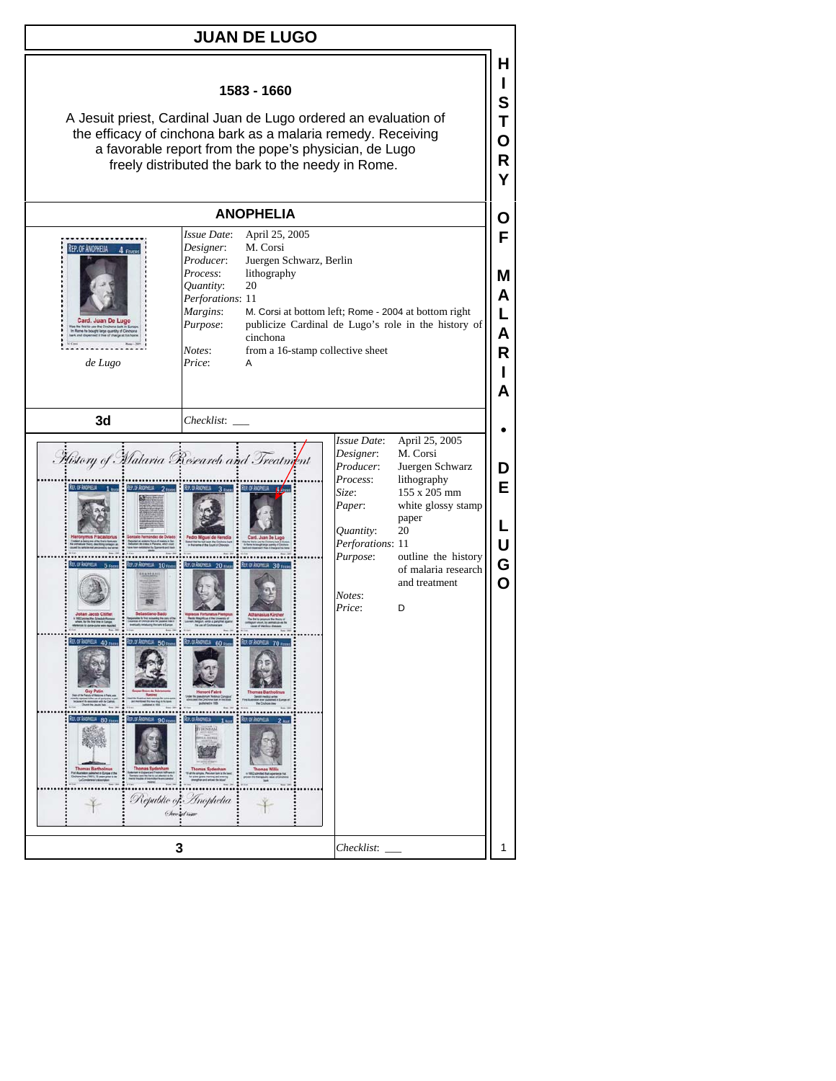